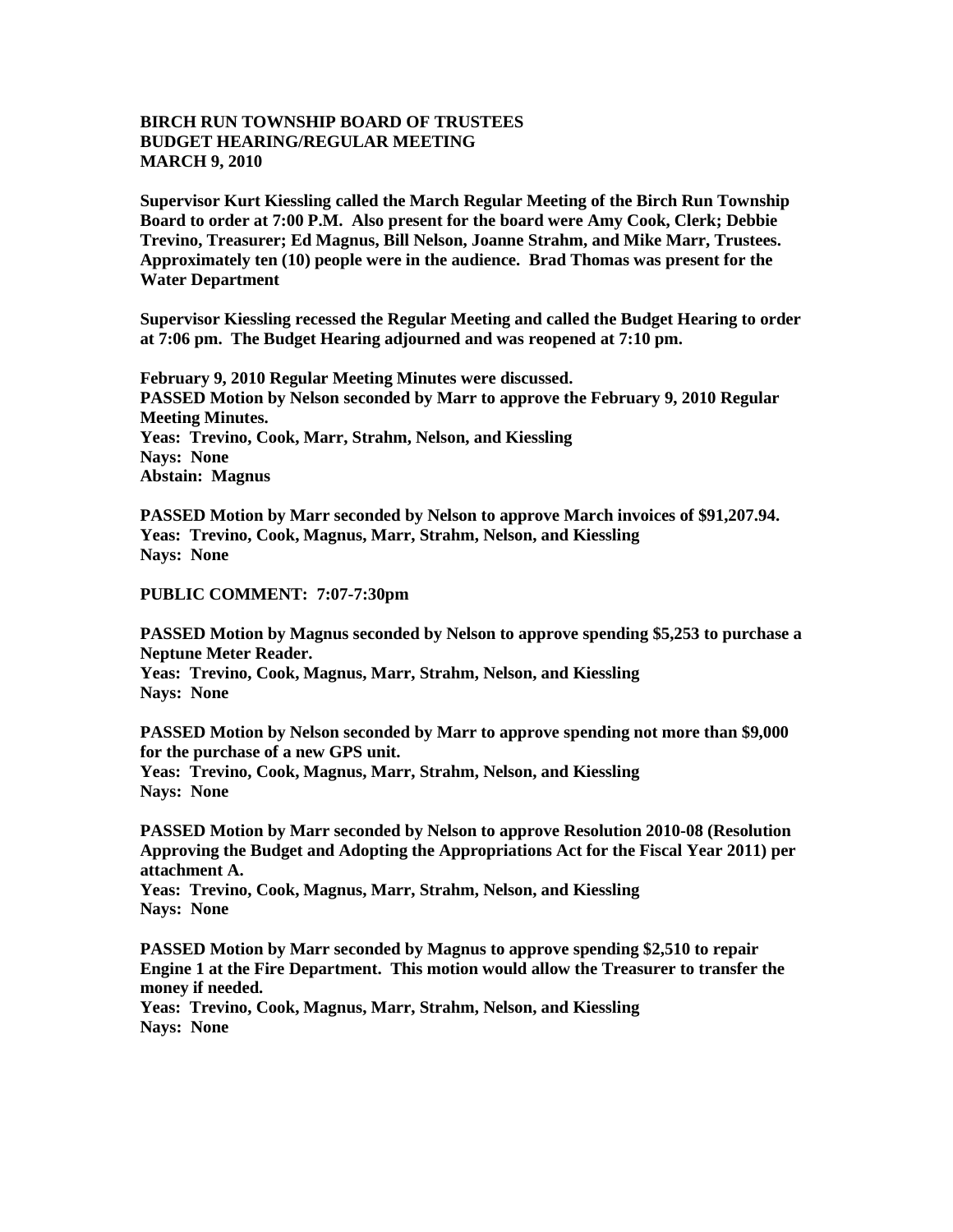## **BIRCH RUN TOWNSHIP BOARD OF TRUSTEES BUDGET HEARING/REGULAR MEETING MARCH 9, 2010**

**Supervisor Kurt Kiessling called the March Regular Meeting of the Birch Run Township Board to order at 7:00 P.M. Also present for the board were Amy Cook, Clerk; Debbie Trevino, Treasurer; Ed Magnus, Bill Nelson, Joanne Strahm, and Mike Marr, Trustees. Approximately ten (10) people were in the audience. Brad Thomas was present for the Water Department**

**Supervisor Kiessling recessed the Regular Meeting and called the Budget Hearing to order at 7:06 pm. The Budget Hearing adjourned and was reopened at 7:10 pm.**

**February 9, 2010 Regular Meeting Minutes were discussed. PASSED Motion by Nelson seconded by Marr to approve the February 9, 2010 Regular Meeting Minutes. Yeas: Trevino, Cook, Marr, Strahm, Nelson, and Kiessling Nays: None Abstain: Magnus**

**PASSED Motion by Marr seconded by Nelson to approve March invoices of \$91,207.94. Yeas: Trevino, Cook, Magnus, Marr, Strahm, Nelson, and Kiessling Nays: None** 

## **PUBLIC COMMENT: 7:07-7:30pm**

**PASSED Motion by Magnus seconded by Nelson to approve spending \$5,253 to purchase a Neptune Meter Reader.**

**Yeas: Trevino, Cook, Magnus, Marr, Strahm, Nelson, and Kiessling Nays: None** 

**PASSED Motion by Nelson seconded by Marr to approve spending not more than \$9,000 for the purchase of a new GPS unit.**

**Yeas: Trevino, Cook, Magnus, Marr, Strahm, Nelson, and Kiessling Nays: None** 

**PASSED Motion by Marr seconded by Nelson to approve Resolution 2010-08 (Resolution Approving the Budget and Adopting the Appropriations Act for the Fiscal Year 2011) per attachment A.**

**Yeas: Trevino, Cook, Magnus, Marr, Strahm, Nelson, and Kiessling Nays: None** 

**PASSED Motion by Marr seconded by Magnus to approve spending \$2,510 to repair Engine 1 at the Fire Department. This motion would allow the Treasurer to transfer the money if needed.** 

**Yeas: Trevino, Cook, Magnus, Marr, Strahm, Nelson, and Kiessling Nays: None**